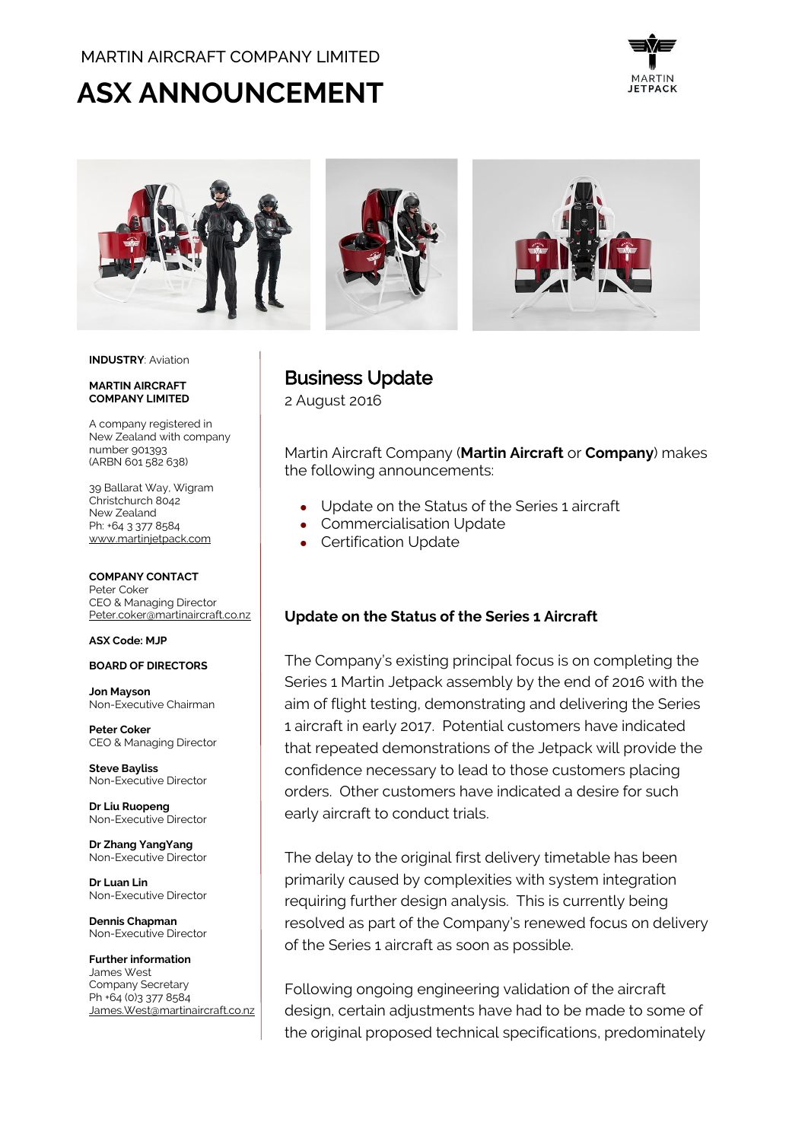# MARTIN AIRCRAFT COMPANY LIMITED

# ASX ANNOUNCEMENT





#### **INDUSTRY**: Aviation

#### **MARTIN AIRCRAFT COMPANY LIMITED**

A company registered in New Zealand with company number 901393 (ARBN 601 582 638)

39 Ballarat Way, Wigram Christchurch 8042 New Zealand Ph: +64 3 377 8584 [www.martinjetpack.com](http://www.martinjetpack.com/)

#### **COMPANY CONTACT**

Peter Coker CEO & Managing Director [Peter.coker@martinaircraft.co.nz](mailto:Peter.coker@martinaircraft.co.nz)

#### **ASX Code: MJP**

#### **BOARD OF DIRECTORS**

**Jon Mayson**  Non-Executive Chairman

**Peter Coker**  CEO & Managing Director

**Steve Bayliss** Non-Executive Director

**Dr Liu Ruopeng**  Non-Executive Director

**Dr Zhang YangYang**  Non-Executive Director

**Dr Luan Lin** Non-Executive Director

**Dennis Chapman** Non-Executive Director

**Further information** James West Company Secretary Ph +64 (0)3 377 8584 [James.West@martinaircraft.co.nz](mailto:James.West@martinaircraft.co.nz) Business Update

2 August 2016

Martin Aircraft Company (**Martin Aircraft** or **Company**) makes the following announcements:

- Update on the Status of the Series 1 aircraft
- Commercialisation Update
- Certification Update

## **Update on the Status of the Series 1 Aircraft**

The Company's existing principal focus is on completing the Series 1 Martin Jetpack assembly by the end of 2016 with the aim of flight testing, demonstrating and delivering the Series 1 aircraft in early 2017. Potential customers have indicated that repeated demonstrations of the Jetpack will provide the confidence necessary to lead to those customers placing orders. Other customers have indicated a desire for such early aircraft to conduct trials.

The delay to the original first delivery timetable has been primarily caused by complexities with system integration requiring further design analysis. This is currently being resolved as part of the Company's renewed focus on delivery of the Series 1 aircraft as soon as possible.

Following ongoing engineering validation of the aircraft design, certain adjustments have had to be made to some of the original proposed technical specifications, predominately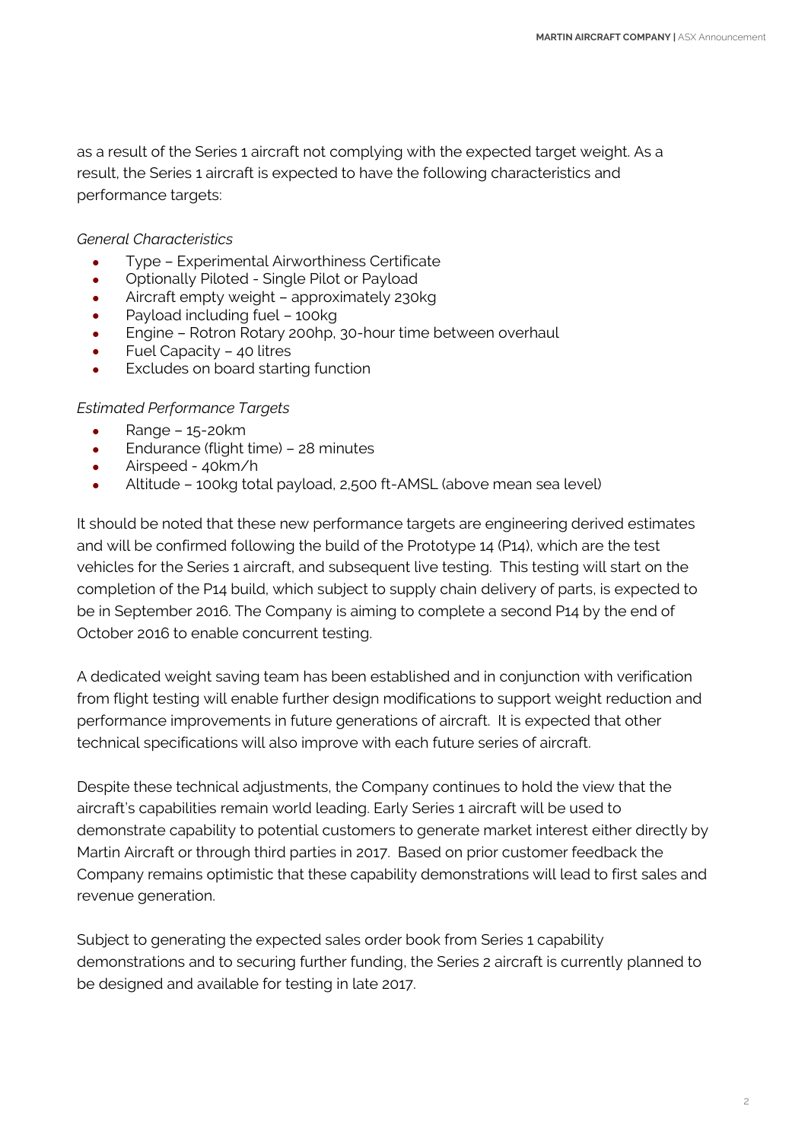as a result of the Series 1 aircraft not complying with the expected target weight. As a result, the Series 1 aircraft is expected to have the following characteristics and performance targets:

## *General Characteristics*

- Type Experimental Airworthiness Certificate
- Optionally Piloted Single Pilot or Payload
- Aircraft empty weight approximately 230kg
- Payload including fuel 100kg
- Engine Rotron Rotary 200hp, 30-hour time between overhaul
- Fuel Capacity 40 litres
- Excludes on board starting function

# *Estimated Performance Targets*

- $\bullet$  Range 15-20 $km$
- Endurance (flight time) 28 minutes
- Airspeed 40km/h
- Altitude 100kg total payload, 2,500 ft-AMSL (above mean sea level)

It should be noted that these new performance targets are engineering derived estimates and will be confirmed following the build of the Prototype 14 (P14), which are the test vehicles for the Series 1 aircraft, and subsequent live testing. This testing will start on the completion of the P14 build, which subject to supply chain delivery of parts, is expected to be in September 2016. The Company is aiming to complete a second P14 by the end of October 2016 to enable concurrent testing.

A dedicated weight saving team has been established and in conjunction with verification from flight testing will enable further design modifications to support weight reduction and performance improvements in future generations of aircraft. It is expected that other technical specifications will also improve with each future series of aircraft.

Despite these technical adjustments, the Company continues to hold the view that the aircraft's capabilities remain world leading. Early Series 1 aircraft will be used to demonstrate capability to potential customers to generate market interest either directly by Martin Aircraft or through third parties in 2017. Based on prior customer feedback the Company remains optimistic that these capability demonstrations will lead to first sales and revenue generation.

Subject to generating the expected sales order book from Series 1 capability demonstrations and to securing further funding, the Series 2 aircraft is currently planned to be designed and available for testing in late 2017.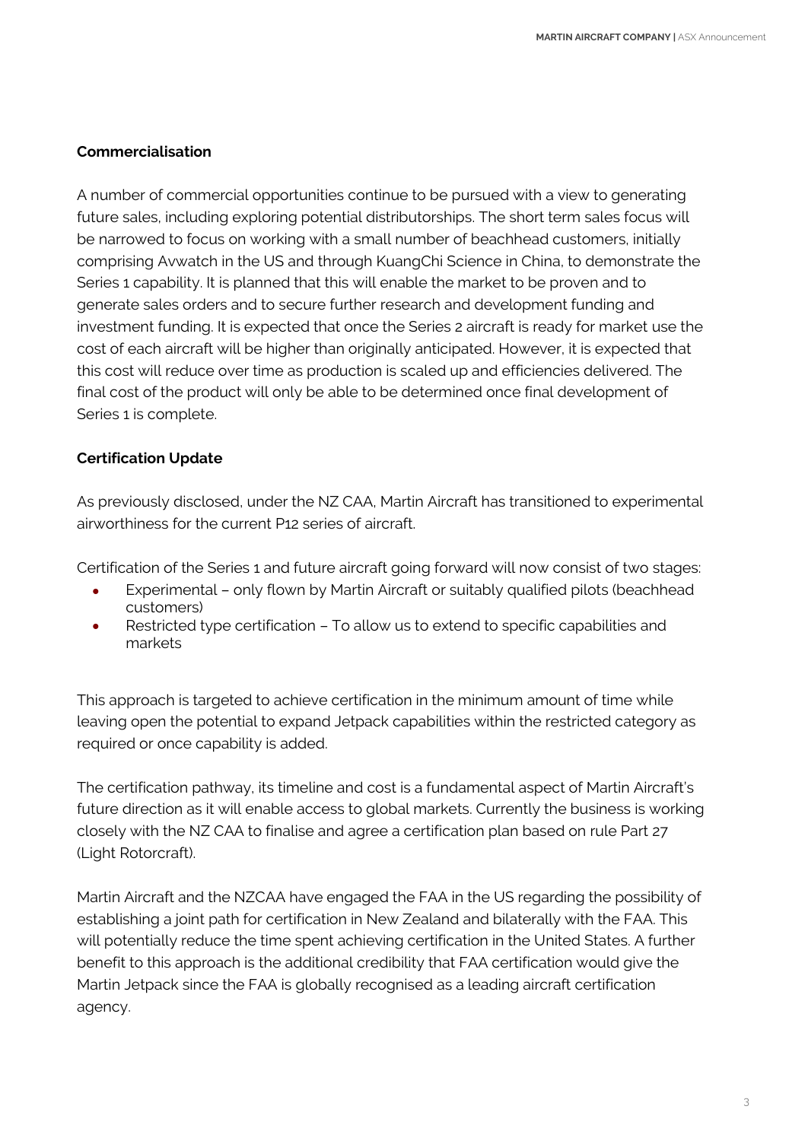## **Commercialisation**

A number of commercial opportunities continue to be pursued with a view to generating future sales, including exploring potential distributorships. The short term sales focus will be narrowed to focus on working with a small number of beachhead customers, initially comprising Avwatch in the US and through KuangChi Science in China, to demonstrate the Series 1 capability. It is planned that this will enable the market to be proven and to generate sales orders and to secure further research and development funding and investment funding. It is expected that once the Series 2 aircraft is ready for market use the cost of each aircraft will be higher than originally anticipated. However, it is expected that this cost will reduce over time as production is scaled up and efficiencies delivered. The final cost of the product will only be able to be determined once final development of Series 1 is complete.

## **Certification Update**

As previously disclosed, under the NZ CAA, Martin Aircraft has transitioned to experimental airworthiness for the current P12 series of aircraft.

Certification of the Series 1 and future aircraft going forward will now consist of two stages:

- Experimental only flown by Martin Aircraft or suitably qualified pilots (beachhead customers)
- Restricted type certification To allow us to extend to specific capabilities and markets

This approach is targeted to achieve certification in the minimum amount of time while leaving open the potential to expand Jetpack capabilities within the restricted category as required or once capability is added.

The certification pathway, its timeline and cost is a fundamental aspect of Martin Aircraft's future direction as it will enable access to global markets. Currently the business is working closely with the NZ CAA to finalise and agree a certification plan based on rule Part 27 (Light Rotorcraft).

Martin Aircraft and the NZCAA have engaged the FAA in the US regarding the possibility of establishing a joint path for certification in New Zealand and bilaterally with the FAA. This will potentially reduce the time spent achieving certification in the United States. A further benefit to this approach is the additional credibility that FAA certification would give the Martin Jetpack since the FAA is globally recognised as a leading aircraft certification agency.